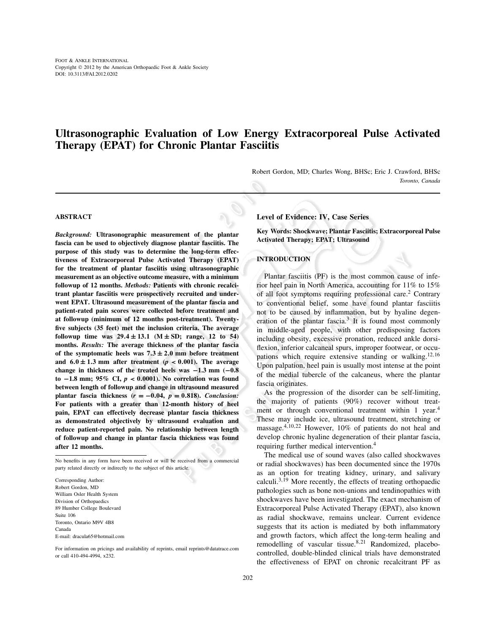# **Ultrasonographic Evaluation of Low Energy Extracorporeal Pulse Activated Therapy (EPAT) for Chronic Plantar Fasciitis**

Robert Gordon, MD; Charles Wong, BHSc; Eric J. Crawford, BHSc *Toronto, Canada*

# **ABSTRACT**

*Background:* **Ultrasonographic measurement of the plantar fascia can be used to objectively diagnose plantar fasciitis. The purpose of this study was to determine the long-term effectiveness of Extracorporeal Pulse Activated Therapy (EPAT) for the treatment of plantar fasciitis using ultrasonographic measurement as an objective outcome measure, with a minimum followup of 12 months.** *Methods:* **Patients with chronic recalcitrant plantar fasciitis were prospectively recruited and underwent EPAT. Ultrasound measurement of the plantar fascia and patient-rated pain scores were collected before treatment and at followup (minimum of 12 months post-treatment). Twentyfive subjects (35 feet) met the inclusion criteria. The average followup time was**  $29.4 \pm 13.1$  **(M**  $\pm$  **SD; range, 12 to 54) months.** *Results:* **The average thickness of the plantar fascia** of the symptomatic heels was  $7.3 \pm 2.0$  mm before treatment and  $6.0 \pm 1.3$  mm after treatment ( $p < 0.001$ ). The average **change in thickness of the treated heels was** −**1.3 mm (**−**0.8 to** −**1.8 mm; 95% CI,** *p* < **0**.**0001). No correlation was found between length of followup and change in ultrasound measured plantar fascia thickness**  $(r = -0.04, p = 0.818)$ **.** *Conclusion:* **For patients with a greater than 12-month history of heel pain, EPAT can effectively decrease plantar fascia thickness as demonstrated objectively by ultrasound evaluation and reduce patient-reported pain. No relationship between length of followup and change in plantar fascia thickness was found after 12 months.**

No benefits in any form have been received or will be received from a commercial party related directly or indirectly to the subject of this article.

Corresponding Author: Robert Gordon, MD William Osler Health System Division of Orthopaedics 89 Humber College Boulevard Suite 106 Toronto, Ontario M9V 4B8 Canada E-mail: dracula65@hotmail.com

For information on pricings and availability of reprints, email reprints@datatrace.com or call 410-494-4994, x232.

#### **Level of Evidence: IV, Case Series**

**Key Words: Shockwave; Plantar Fasciitis; Extracorporeal Pulse Activated Therapy; EPAT; Ultrasound**

## **INTRODUCTION**

Plantar fasciitis (PF) is the most common cause of inferior heel pain in North America, accounting for 11% to 15% of all foot symptoms requiring professional care.2 Contrary to conventional belief, some have found plantar fasciitis not to be caused by inflammation, but by hyaline degeneration of the plantar fascia. $3$  It is found most commonly in middle-aged people, with other predisposing factors including obesity, excessive pronation, reduced ankle dorsiflexion, inferior calcaneal spurs, improper footwear, or occupations which require extensive standing or walking.<sup>12,16</sup> Upon palpation, heel pain is usually most intense at the point of the medial tubercle of the calcaneus, where the plantar fascia originates.

As the progression of the disorder can be self-limiting, the majority of patients (90%) recover without treatment or through conventional treatment within 1 year.<sup>4</sup> These may include ice, ultrasound treatment, stretching or massage.4,10,<sup>22</sup> However, 10% of patients do not heal and develop chronic hyaline degeneration of their plantar fascia, requiring further medical intervention.4

The medical use of sound waves (also called shockwaves or radial shockwaves) has been documented since the 1970s as an option for treating kidney, urinary, and salivary calculi.<sup>3,19</sup> More recently, the effects of treating orthopaedic pathologies such as bone non-unions and tendinopathies with shockwaves have been investigated. The exact mechanism of Extracorporeal Pulse Activated Therapy (EPAT), also known as radial shockwave, remains unclear. Current evidence suggests that its action is mediated by both inflammatory and growth factors, which affect the long-term healing and remodelling of vascular tissue.<sup>8,21</sup> Randomized, placebocontrolled, double-blinded clinical trials have demonstrated the effectiveness of EPAT on chronic recalcitrant PF as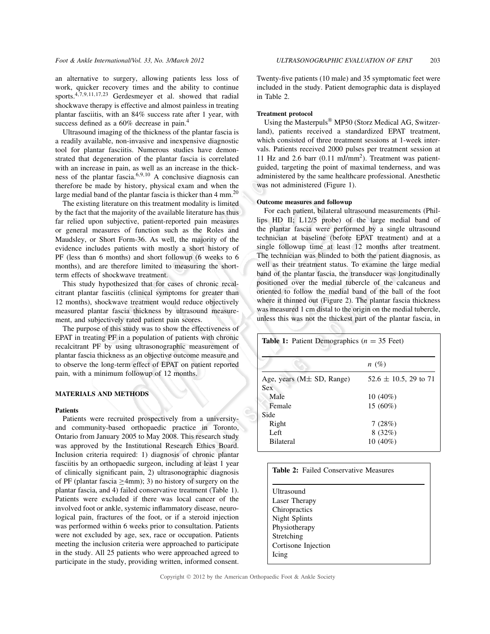an alternative to surgery, allowing patients less loss of work, quicker recovery times and the ability to continue sports.4,7,9,11,17,<sup>23</sup> Gerdesmeyer et al. showed that radial shockwave therapy is effective and almost painless in treating plantar fasciitis, with an 84% success rate after 1 year, with success defined as a 60% decrease in pain.<sup>4</sup>

Ultrasound imaging of the thickness of the plantar fascia is a readily available, non-invasive and inexpensive diagnostic tool for plantar fasciitis. Numerous studies have demonstrated that degeneration of the plantar fascia is correlated with an increase in pain, as well as an increase in the thickness of the plantar fascia.6,9,<sup>10</sup> A conclusive diagnosis can therefore be made by history, physical exam and when the large medial band of the plantar fascia is thicker than  $4 \text{ mm}^{20}$ 

The existing literature on this treatment modality is limited by the fact that the majority of the available literature has thus far relied upon subjective, patient-reported pain measures or general measures of function such as the Roles and Maudsley, or Short Form-36. As well, the majority of the evidence includes patients with mostly a short history of PF (less than 6 months) and short followup (6 weeks to 6 months), and are therefore limited to measuring the shortterm effects of shockwave treatment.

This study hypothesized that for cases of chronic recalcitrant plantar fasciitis (clinical symptoms for greater than 12 months), shockwave treatment would reduce objectively measured plantar fascia thickness by ultrasound measurement, and subjectively rated patient pain scores.

The purpose of this study was to show the effectiveness of EPAT in treating PF in a population of patients with chronic recalcitrant PF by using ultrasonographic measurement of plantar fascia thickness as an objective outcome measure and to observe the long-term effect of EPAT on patient reported pain, with a minimum followup of 12 months.

## **MATERIALS AND METHODS**

#### **Patients**

Patients were recruited prospectively from a universityand community-based orthopaedic practice in Toronto, Ontario from January 2005 to May 2008. This research study was approved by the Institutional Research Ethics Board. Inclusion criteria required: 1) diagnosis of chronic plantar fasciitis by an orthopaedic surgeon, including at least 1 year of clinically significant pain, 2) ultrasonographic diagnosis of PF (plantar fascia ≥4mm); 3) no history of surgery on the plantar fascia, and 4) failed conservative treatment (Table 1). Patients were excluded if there was local cancer of the involved foot or ankle, systemic inflammatory disease, neurological pain, fractures of the foot, or if a steroid injection was performed within 6 weeks prior to consultation. Patients were not excluded by age, sex, race or occupation. Patients meeting the inclusion criteria were approached to participate in the study. All 25 patients who were approached agreed to participate in the study, providing written, informed consent.

Twenty-five patients (10 male) and 35 symptomatic feet were included in the study. Patient demographic data is displayed in Table 2.

#### **Treatment protocol**

Using the Masterpuls® MP50 (Storz Medical AG, Switzerland), patients received a standardized EPAT treatment, which consisted of three treatment sessions at 1-week intervals. Patients received 2000 pulses per treatment session at 11 Hz and 2.6 barr  $(0.11 \text{ mJ/mm}^2)$ . Treatment was patientguided, targeting the point of maximal tenderness, and was administered by the same healthcare professional. Anesthetic was not administered (Figure 1).

#### **Outcome measures and followup**

For each patient, bilateral ultrasound measurements (Phillips HD II; L12/5 probe) of the large medial band of the plantar fascia were performed by a single ultrasound technician at baseline (before EPAT treatment) and at a single followup time at least 12 months after treatment. The technician was blinded to both the patient diagnosis, as well as their treatment status. To examine the large medial band of the plantar fascia, the transducer was longitudinally positioned over the medial tubercle of the calcaneus and oriented to follow the medial band of the ball of the foot where it thinned out (Figure 2). The plantar fascia thickness was measured 1 cm distal to the origin on the medial tubercle, unless this was not the thickest part of the plantar fascia, in

| <b>Table 1:</b> Patient Demographics ( $n = 35$ Feet) |                            |  |
|-------------------------------------------------------|----------------------------|--|
|                                                       | $n(\%)$                    |  |
| Age, years ( $M\pm SD$ , Range)                       | $52.6 \pm 10.5$ , 29 to 71 |  |
| <b>Sex</b>                                            |                            |  |
| Male                                                  | $10(40\%)$                 |  |
| Female                                                | $15(60\%)$                 |  |
| Side                                                  |                            |  |
| Right                                                 | 7(28%)                     |  |
| Left                                                  | 8(32%)                     |  |
| <b>Bilateral</b>                                      | $10(40\%)$                 |  |

| <b>Table 2:</b> Failed Conservative Measures |  |
|----------------------------------------------|--|
|                                              |  |
| Ultrasound                                   |  |
| Laser Therapy                                |  |
| Chiropractics                                |  |
| Night Splints                                |  |
| Physiotherapy                                |  |
| Stretching                                   |  |
| Cortisone Injection                          |  |
| Icing                                        |  |
|                                              |  |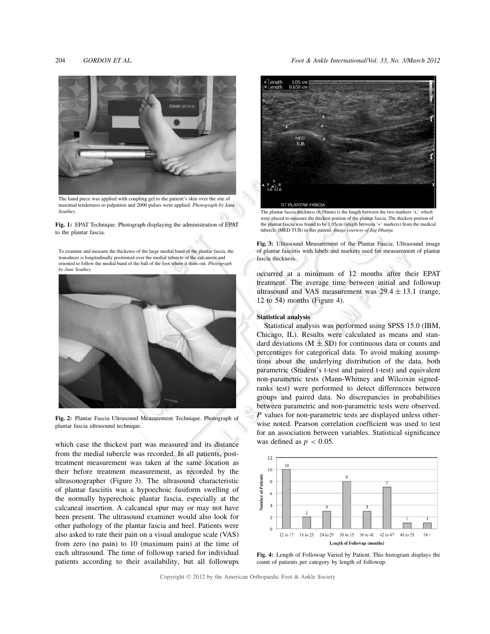204 *GORDON ET AL. Foot & Ankle International*/*Vol. 33, No. 3/March 2012*



The hand piece was applied with coupling gel to the patient's skin over the site of maximal tenderness to palpation and 2000 pulses were applied. *Photograph by Jane Southey.*

**Fig. 1:** EPAT Technique. Photograph displaying the administration of EPAT to the plantar fascia.

To examine and measure the thickenss of the large medial band of the plantar fascia, the transducer is longitudinally positioned over the medial tubercle of the calcaneus and oriented to follow the medial band of the ball of the foot where it thins out. *Photograph by Jane Southey.*



**Fig. 2:** Plantar Fascia Ultrasound Measurement Technique. Photograph of plantar fascia ultrasound technique.

which case the thickest part was measured and its distance from the medial tubercle was recorded. In all patients, posttreatment measurement was taken at the same location as their before treatment measurement, as recorded by the ultrasonographer (Figure 3). The ultrasound characteristic of plantar fasciitis was a hypoechoic fusiform swelling of the normally hyperechoic plantar fascia, especially at the calcaneal insertion. A calcaneal spur may or may not have been present. The ultrasound examiner would also look for other pathology of the plantar fascia and heel. Patients were also asked to rate their pain on a visual analogue scale (VAS) from zero (no pain) to 10 (maximum pain) at the time of each ultrasound. The time of followup varied for individual patients according to their availability, but all followups



The plantar fascia thickness (6.58mm) is the length between the two markers 'x,' which were placed to measure the thickest portion of the plantar fascia. The thickest portion of the plantar fascia was found to be 1.05cm (length between '+' markers) from the medical tubercle (MED TUB) in this patient. *Image courtesy of Jag Dhanju*.

**Fig. 3:** Ultrasound Measurement of the Plantar Fascia. Ultrasound image of plantar fasciitis with labels and markers used for measurement of plantar fascia thickness.

occurred at a minimum of 12 months after their EPAT treatment. The average time between initial and followup ultrasound and VAS measurement was  $29.4 \pm 13.1$  (range, 12 to 54) months (Figure 4).

## **Statistical analysis**

Statistical analysis was performed using SPSS 15.0 (IBM, Chicago, IL). Results were calculated as means and standard deviations ( $M \pm SD$ ) for continuous data or counts and percentages for categorical data. To avoid making assumptions about the underlying distribution of the data, both parametric (Student's t-test and paired t-test) and equivalent non-parametric tests (Mann-Whitney and Wilcoxin signedranks test) were performed to detect differences between groups and paired data. No discrepancies in probabilities between parametric and non-parametric tests were observed. *P* values for non-parametric tests are displayed unless otherwise noted. Pearson correlation coefficient was used to test for an association between variables. Statistical significance was defined as  $p < 0.05$ .



**Fig. 4:** Length of Followup Varied by Patient. This histogram displays the count of patients per category by length of followup.

Copyright © 2012 by the American Orthopaedic Foot & Ankle Society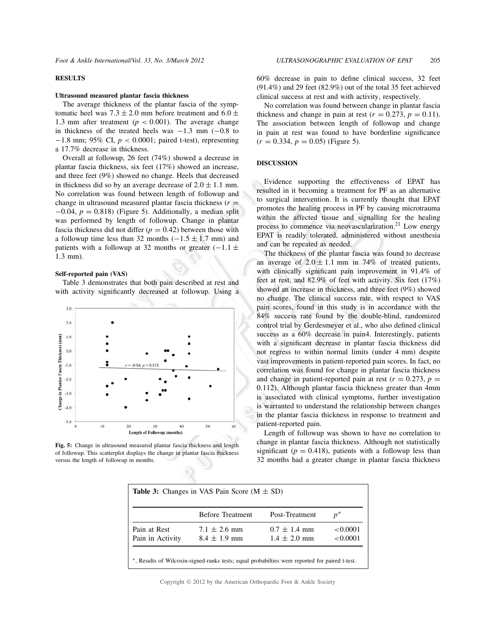## **RESULTS**

#### **Ultrasound measured plantar fascia thickness**

The average thickness of the plantar fascia of the symptomatic heel was  $7.3 \pm 2.0$  mm before treatment and  $6.0 \pm$ 1.3 mm after treatment ( $p < 0.001$ ). The average change in thickness of the treated heels was  $-1.3$  mm  $(-0.8$  to −1.8 mm; 95% CI, *p* < 0.0001; paired t-test), representing a 17.7% decrease in thickness.

Overall at followup, 26 feet (74%) showed a decrease in plantar fascia thickness, six feet (17%) showed an increase, and three feet (9%) showed no change. Heels that decreased in thickness did so by an average decrease of  $2.0 \pm 1.1$  mm. No correlation was found between length of followup and change in ultrasound measured plantar fascia thickness  $(r =$  $-0.04$ ,  $p = 0.818$ ) (Figure 5). Additionally, a median split was performed by length of followup. Change in plantar fascia thickness did not differ  $(p = 0.42)$  between those with a followup time less than 32 months  $(-1.5 \pm 1.7 \text{ mm})$  and patients with a followup at 32 months or greater  $(-1.1 \pm$ 1.3 mm).

#### **Self-reported pain (VAS)**

Table 3 demonstrates that both pain described at rest and with activity significantly decreased at followup. Using a



**Fig. 5:** Change in ultrasound measured plantar fascia thickness and length of followup. This scatterplot displays the change in plantar fascia thickness versus the length of followup in months.

60% decrease in pain to define clinical success, 32 feet (91.4%) and 29 feet (82.9%) out of the total 35 feet achieved clinical success at rest and with activity, respectively.

No correlation was found between change in plantar fascia thickness and change in pain at rest ( $r = 0.273$ ,  $p = 0.11$ ). The association between length of followup and change in pain at rest was found to have borderline significance  $(r = 0.334, p = 0.05)$  (Figure 5).

## **DISCUSSION**

Evidence supporting the effectiveness of EPAT has resulted in it becoming a treatment for PF as an alternative to surgical intervention. It is currently thought that EPAT promotes the healing process in PF by causing microtrauma within the affected tissue and signalling for the healing process to commence via neovascularization.<sup>21</sup> Low energy EPAT is readily tolerated, administered without anesthesia and can be repeated as needed.

The thickness of the plantar fascia was found to decrease an average of  $2.0 \pm 1.1$  mm in 74% of treated patients, with clinically significant pain improvement in 91.4% of feet at rest, and 82.9% of feet with activity. Six feet (17%) showed an increase in thickness, and three feet (9%) showed no change. The clinical success rate, with respect to VAS pain scores, found in this study is in accordance with the 84% success rate found by the double-blind, randomized control trial by Gerdesmeyer et al., who also defined clinical success as a 60% decrease in pain4. Interestingly, patients with a significant decrease in plantar fascia thickness did not regress to within normal limits (under 4 mm) despite vast improvements in patient-reported pain scores. In fact, no correlation was found for change in plantar fascia thickness and change in patient-reported pain at rest ( $r = 0.273$ ,  $p =$ 0.112). Although plantar fascia thickness greater than 4mm is associated with clinical symptoms, further investigation is warranted to understand the relationship between changes in the plantar fascia thickness in response to treatment and patient-reported pain.

Length of followup was shown to have no correlation to change in plantar fascia thickness. Although not statistically significant ( $p = 0.418$ ), patients with a followup less than 32 months had a greater change in plantar fascia thickness

|                  | <b>Before Treatment</b> | Post-Treatment   | $p^*$    |
|------------------|-------------------------|------------------|----------|
| Pain at Rest     | $7.1 \pm 2.6$ mm        | $0.7 \pm 1.4$ mm | < 0.0001 |
| Pain in Activity | $8.4 \pm 1.9$ mm        | $1.4 \pm 2.0$ mm | < 0.0001 |

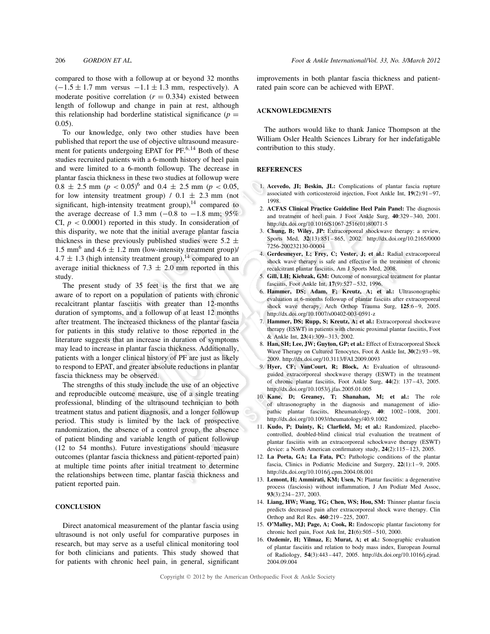compared to those with a followup at or beyond 32 months  $(-1.5 \pm 1.7 \text{ mm}$  versus  $-1.1 \pm 1.3 \text{ mm}$ , respectively). A moderate positive correlation  $(r = 0.334)$  existed between length of followup and change in pain at rest, although this relationship had borderline statistical significance  $(p =$ 0.05).

To our knowledge, only two other studies have been published that report the use of objective ultrasound measurement for patients undergoing EPAT for  $PF^{6,14}$  Both of these studies recruited patients with a 6-month history of heel pain and were limited to a 6-month followup. The decrease in plantar fascia thickness in these two studies at followup were  $0.8 \pm 2.5$  mm (*p* <  $0.05$ )<sup>6</sup> and  $0.4 \pm 2.5$  mm (*p* <  $0.05$ , for low intensity treatment group)  $/ 0.1 \pm 2.3$  mm (not significant, high-intensity treatment group), $14$  compared to the average decrease of 1.3 mm  $(-0.8 \text{ to } -1.8 \text{ mm})$ ; 95% CI,  $p < 0.0001$ ) reported in this study. In consideration of this disparity, we note that the initial average plantar fascia thickness in these previously published studies were  $5.2 \pm$ 1.5 mm<sup>6</sup> and 4.6  $\pm$  1.2 mm (low-intensity treatment group)/  $4.7 \pm 1.3$  (high intensity treatment group),<sup>14</sup> compared to an average initial thickness of 7.3  $\pm$  2.0 mm reported in this study.

The present study of 35 feet is the first that we are aware of to report on a population of patients with chronic recalcitrant plantar fasciitis with greater than 12-months duration of symptoms, and a followup of at least 12 months after treatment. The increased thickness of the plantar fascia for patients in this study relative to those reported in the literature suggests that an increase in duration of symptoms may lead to increase in plantar fascia thickness. Additionally, patients with a longer clinical history of PF are just as likely to respond to EPAT, and greater absolute reductions in plantar fascia thickness may be observed.

The strengths of this study include the use of an objective and reproducible outcome measure, use of a single treating professional, blinding of the ultrasound technician to both treatment status and patient diagnosis, and a longer followup period. This study is limited by the lack of prospective randomization, the absence of a control group, the absence of patient blinding and variable length of patient followup (12 to 54 months). Future investigations should measure outcomes (plantar fascia thickness and patient-reported pain) at multiple time points after initial treatment to determine the relationships between time, plantar fascia thickness and patient reported pain.

#### **CONCLUSION**

Direct anatomical measurement of the plantar fascia using ultrasound is not only useful for comparative purposes in research, but may serve as a useful clinical monitoring tool for both clinicians and patients. This study showed that for patients with chronic heel pain, in general, significant improvements in both plantar fascia thickness and patientrated pain score can be achieved with EPAT.

#### **ACKNOWLEDGMENTS**

The authors would like to thank Janice Thompson at the William Osler Health Sciences Library for her indefatigable contribution to this study.

#### **REFERENCES**

- 1. **Acevedo, JI; Beskin, JL:** Complications of plantar fascia rupture associated with corticosteroid injection, Foot Ankle Int, **19**(2):91 –97, 1998.
- 2. **ACFAS Clinical Practice Guideline Heel Pain Panel:** The diagnosis and treatment of heel pain. J Foot Ankle Surg, **40**:329 –340, 2001. http://dx.doi.org/10.1016/S1067-2516(01)80071-5
- 3. **Chung, B; Wiley, JP:** Extracorporeal shockwave therapy: a review, Sports Med, **32**(13):851 –865, 2002. http://dx.doi.org/10.2165/0000 7256-200232130-00004
- 4. **Gerdesmeyer, L; Frey, C; Vester, J; et al.:** Radial extracorporeal shock wave therapy is safe and effective in the treatment of chronic recalcitrant plantar fasciitis, Am J Sports Med, 2008.
- 5. **Gill, LH; Kiebzak, GM:** Outcome of nonsurgical treatment for plantar fasciitis, Foot Ankle Int, **17**(9):527 –532, 1996.
- 6. **Hammer, DS; Adam, F; Kreutz, A; et al.:** Ultrasonographic evaluation at 6-months followup of plantar fasciits after extracorporeal shock wave therapy, Arch Orthop Trauma Surg, **125**:6 –9, 2005. http://dx.doi.org/10.1007/s00402-003-0591-z
- Hammer, DS; Rupp, S; Kreutz, A; et al.: Extracorporeal shockwave therapy (ESWT) in patients with chronic proximal plantar fasciitis, Foot & Ankle Int, **23**(4):309 –313, 2002.
- 8. **Han, SH; Lee, JW; Guyton, GP; et al.:** Effect of Extracorporeal Shock Wave Therapy on Cultured Tenocytes, Foot & Ankle Int, **30**(2):93 –98, 2009. http://dx.doi.org/10.3113/FAI.2009.0093
- 9. **Hyer, CF; VanCourt, R; Block, A:** Evaluation of ultrasoundguided extracorporeal shockwave therapy (ESWT) in the treatment of chronic plantar fasciitis, Foot Ankle Surg, **44**(2): 137 –43, 2005. http://dx.doi.org/10.1053/j.jfas.2005.01.005
- 10. **Kane, D; Greaney, T; Shanahan, M; et al.:** The role of ultrasonography in the diagnosis and management of idiopathic plantar fasciits, Rheumatology, **40**: 1002 –1008, 2001. http://dx.doi.org/10.1093/rheumatology/40.9.1002
- 11. **Kudo, P; Dainty, K; Clarfield, M; et al.:** Randomized, placebocontrolled, doubled-blind clinical trial evaluation the treatment of plantar fasciitis with an extracorporeal schockwave therapy (ESWT) device: a North American confirmatory study, **24**(2):115 –123, 2005.
- 12. **La Porta, GA; La Fata, PC:** Pathologic conditions of the plantar fascia, Clinics in Podiatric Medicine and Surgery, **22**(1):1 –9, 2005. http://dx.doi.org/10.1016/j.cpm.2004.08.001
- 13. **Lemont, H; Ammirati, KM; Usen, N:** Plantar fasciitis: a degenerative process (fasciosis) without inflammation, J Am Podiatr Med Assoc, **93**(3):234 –237, 2003.
- 14. **Liang, HW; Wang, TG; Chen, WS; Hou, SM:** Thinner plantar fascia predicts decreased pain after extracorporeal shock wave therapy. Clin Orthop and Rel Res. **460**:219 –225, 2007.
- 15. **O'Malley, MJ; Page, A; Cook, R:** Endoscopic plantar fasciotomy for chronic heel pain, Foot Ank Int, **21**(6):505 –510, 2000.
- 16. **Ozdemir, H; Yilmaz, E; Murat, A; et al.:** Sonographic evaluation of plantar fasciitis and relation to body mass index, European Journal of Radiology, **54**(3):443 –447, 2005. http://dx.doi.org/10.1016/j.ejrad. 2004.09.004